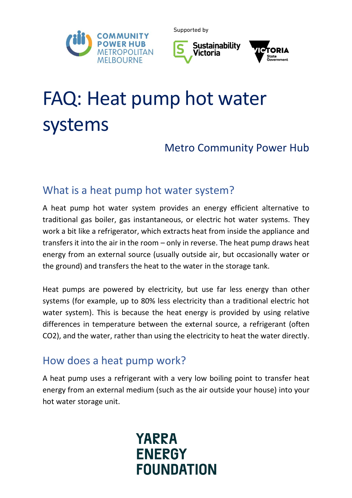





# FAQ: Heat pump hot water systems

# Metro Community Power Hub

## What is a heat pump hot water system?

A heat pump hot water system provides an energy efficient alternative to traditional gas boiler, gas instantaneous, or electric hot water systems. They work a bit like a refrigerator, which extracts heat from inside the appliance and transfers it into the air in the room – only in reverse. The heat pump draws heat energy from an external source (usually outside air, but occasionally water or the ground) and transfers the heat to the water in the storage tank.

Heat pumps are powered by electricity, but use far less energy than other systems (for example, up to 80% less electricity than a traditional electric hot water system). This is because the heat energy is provided by using relative differences in temperature between the external source, a refrigerant (often CO2), and the water, rather than using the electricity to heat the water directly.

### How does a heat pump work?

A heat pump uses a refrigerant with a very low boiling point to transfer heat energy from an external medium (such as the air outside your house) into your hot water storage unit.

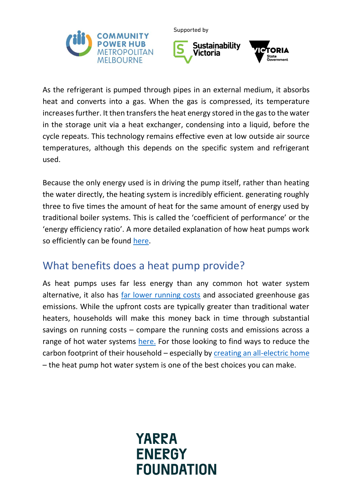



As the refrigerant is pumped through pipes in an external medium, it absorbs heat and converts into a gas. When the gas is compressed, its temperature increases further. It then transfers the heat energy stored in the gas to the water in the storage unit via a heat exchanger, condensing into a liquid, before the cycle repeats. This technology remains effective even at low outside air source temperatures, although this depends on the specific system and refrigerant used.

Because the only energy used is in driving the pump itself, rather than heating the water directly, the heating system is incredibly efficient. generating roughly three to five times the amount of heat for the same amount of energy used by traditional boiler systems. This is called the 'coefficient of performance' or the 'energy efficiency ratio'. A more detailed explanation of how heat pumps work so efficiently can be found [here.](https://www.eec.org.au/for-energy-users/technologies-2/heat-pumps)

#### What benefits does a heat pump provide?

As heat pumps uses far less energy than any common hot water system alternative, it also has [far lower running costs](https://www.aef.com.au/news/mps/2021/08/hot-water-the-cheapest-per-litre/) and associated greenhouse gas emissions. While the upfront costs are typically greater than traditional water heaters, households will make this money back in time through substantial savings on running costs – compare the running costs and emissions across a range of hot water systems [here.](https://www.sustainability.vic.gov.au/energy-efficiency-and-reducing-emissions/save-energy-in-the-home/water-heating/calculate-water-heating-running-costs) For those looking to find ways to reduce the carbon footprint of their household – especially by [creating an all-electric home](https://mcph.org.au/solar-all-electric-home-services/all-electric-home-services/) – the heat pump hot water system is one of the best choices you can make.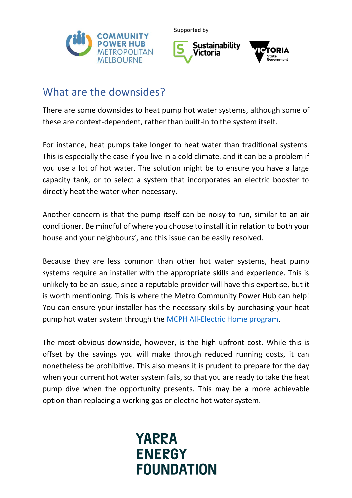



#### What are the downsides?

There are some downsides to heat pump hot water systems, although some of these are context-dependent, rather than built-in to the system itself.

For instance, heat pumps take longer to heat water than traditional systems. This is especially the case if you live in a cold climate, and it can be a problem if you use a lot of hot water. The solution might be to ensure you have a large capacity tank, or to select a system that incorporates an electric booster to directly heat the water when necessary.

Another concern is that the pump itself can be noisy to run, similar to an air conditioner. Be mindful of where you choose to install it in relation to both your house and your neighbours', and this issue can be easily resolved.

Because they are less common than other hot water systems, heat pump systems require an installer with the appropriate skills and experience. This is unlikely to be an issue, since a reputable provider will have this expertise, but it is worth mentioning. This is where the Metro Community Power Hub can help! You can ensure your installer has the necessary skills by purchasing your heat pump hot water system through the [MCPH All-Electric Home program.](https://mcph.org.au/solar-all-electric-home-services/)

The most obvious downside, however, is the high upfront cost. While this is offset by the savings you will make through reduced running costs, it can nonetheless be prohibitive. This also means it is prudent to prepare for the day when your current hot water system fails, so that you are ready to take the heat pump dive when the opportunity presents. This may be a more achievable option than replacing a working gas or electric hot water system.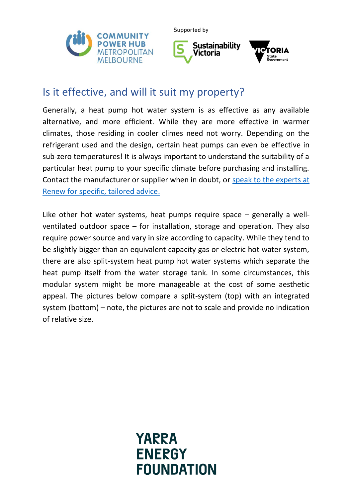



#### Is it effective, and will it suit my property?

Generally, a heat pump hot water system is as effective as any available alternative, and more efficient. While they are more effective in warmer climates, those residing in cooler climes need not worry. Depending on the refrigerant used and the design, certain heat pumps can even be effective in sub-zero temperatures! It is always important to understand the suitability of a particular heat pump to your specific climate before purchasing and installing. Contact the manufacturer or supplier when in doubt, or [speak to the experts at](https://mcph.org.au/energy-advice-for-home-or-business/)  [Renew for specific, tailored advice.](https://mcph.org.au/energy-advice-for-home-or-business/)

Like other hot water systems, heat pumps require space – generally a wellventilated outdoor space – for installation, storage and operation. They also require power source and vary in size according to capacity. While they tend to be slightly bigger than an equivalent capacity gas or electric hot water system, there are also split-system heat pump hot water systems which separate the heat pump itself from the water storage tank. In some circumstances, this modular system might be more manageable at the cost of some aesthetic appeal. The pictures below compare a split-system (top) with an integrated system (bottom) – note, the pictures are not to scale and provide no indication of relative size.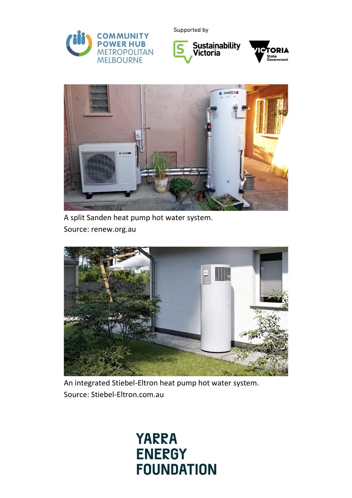





A split Sanden heat pump hot water system. Source: renew.org.au



An integrated Stiebel-Eltron heat pump hot water system. Source: Stiebel-Eltron.com.au

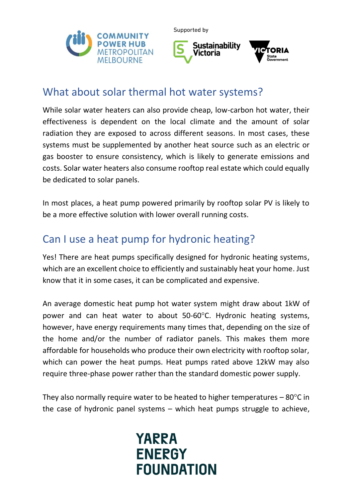





#### What about solar thermal hot water systems?

While solar water heaters can also provide cheap, low-carbon hot water, their effectiveness is dependent on the local climate and the amount of solar radiation they are exposed to across different seasons. In most cases, these systems must be supplemented by another heat source such as an electric or gas booster to ensure consistency, which is likely to generate emissions and costs. Solar water heaters also consume rooftop real estate which could equally be dedicated to solar panels.

In most places, a heat pump powered primarily by rooftop solar PV is likely to be a more effective solution with lower overall running costs.

# Can I use a heat pump for hydronic heating?

Yes! There are heat pumps specifically designed for hydronic heating systems, which are an excellent choice to efficiently and sustainably heat your home. Just know that it in some cases, it can be complicated and expensive.

An average domestic heat pump hot water system might draw about 1kW of power and can heat water to about 50-60°C. Hydronic heating systems, however, have energy requirements many times that, depending on the size of the home and/or the number of radiator panels. This makes them more affordable for households who produce their own electricity with rooftop solar, which can power the heat pumps. Heat pumps rated above 12kW may also require three-phase power rather than the standard domestic power supply.

They also normally require water to be heated to higher temperatures  $-80^{\circ}$ C in the case of hydronic panel systems – which heat pumps struggle to achieve,

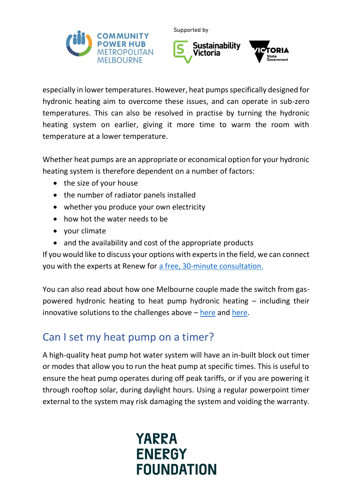



especially in lower temperatures. However, heat pumps specifically designed for hydronic heating aim to overcome these issues, and can operate in sub-zero temperatures. This can also be resolved in practise by turning the hydronic heating system on earlier, giving it more time to warm the room with temperature at a lower temperature.

Whether heat pumps are an appropriate or economical option for your hydronic heating system is therefore dependent on a number of factors:

- the size of your house
- the number of radiator panels installed
- whether you produce your own electricity
- how hot the water needs to be
- your climate
- and the availability and cost of the appropriate products

If you would like to discuss your options with experts in the field, we can connect you with the experts at Renew for [a free, 30-minute consultation.](https://mcph.org.au/energy-advice-for-home-or-business/)

You can also read about how one Melbourne couple made the switch from gaspowered hydronic heating to heat pump hydronic heating – including their innovative solutions to the challenges above  $-\text{here}$  $-\text{here}$  $-\text{here}$  and [here.](https://renew.org.au/renew-magazine/sustainable-tech/going-electric-with-hydronic-heating/)

# Can I set my heat pump on a timer?

A high-quality heat pump hot water system will have an in-built block out timer or modes that allow you to run the heat pump at specific times. This is useful to ensure the heat pump operates during off peak tariffs, or if you are powering it through rooftop solar, during daylight hours. Using a regular powerpoint timer external to the system may risk damaging the system and voiding the warranty.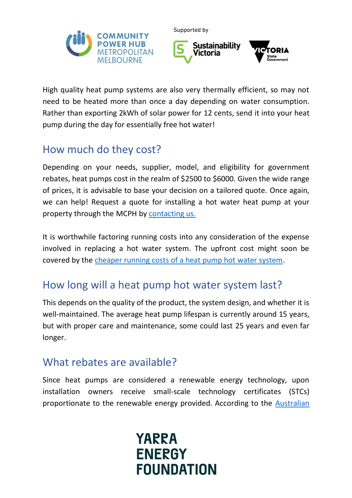



High quality heat pump systems are also very thermally efficient, so may not need to be heated more than once a day depending on water consumption. Rather than exporting 2kWh of solar power for 12 cents, send it into your heat pump during the day for essentially free hot water!

# How much do they cost?

Depending on your needs, supplier, model, and eligibility for government rebates, heat pumps cost in the realm of \$2500 to \$6000. Given the wide range of prices, it is advisable to base your decision on a tailored quote. Once again, we can help! Request a quote for installing a hot water heat pump at your property through the MCPH by [contacting us.](https://mcph.org.au/contact-us/)

It is worthwhile factoring running costs into any consideration of the expense involved in replacing a hot water system. The upfront cost might soon be covered by the [cheaper running costs of a heat pump hot water system.](https://www.aef.com.au/news/mps/2021/08/hot-water-the-cheapest-per-litre/)

# How long will a heat pump hot water system last?

This depends on the quality of the product, the system design, and whether it is well-maintained. The average heat pump lifespan is currently around 15 years, but with proper care and maintenance, some could last 25 years and even far longer.

#### What rebates are available?

Since heat pumps are considered a renewable energy technology, upon installation owners receive small-scale technology certificates (STCs) proportionate to the renewable energy provided. According to the [Australian](https://www.energy.gov.au/households/hot-water-systems#toc-anchor-rebates) 

**FOUNDATION** 

**YARRA** 

**ENERGY**